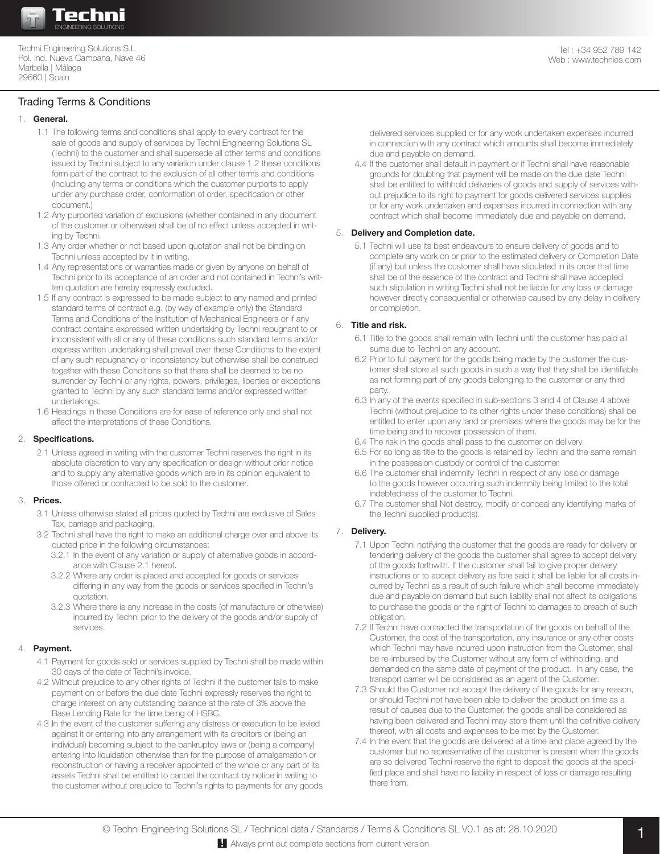

Techni Engineering Solutions S.L Pol. Ind. Nueva Campana, Nave 46 Marbella | Málaga 29660 | Spain

# Trading Terms & Conditions

## 1. **General.**

- 1.1 The following terms and conditions shall apply to every contract for the sale of goods and supply of services by Techni Engineering Solutions SL (Techni) to the customer and shall supersede all other terms and conditions issued by Techni subject to any variation under clause 1.2 these conditions form part of the contract to the exclusion of all other terms and conditions (Including any terms or conditions which the customer purports to apply under any purchase order, conformation of order, specification or other document.)
- 1.2 Any purported variation of exclusions (whether contained in any document of the customer or otherwise) shall be of no effect unless accepted in writing by Techni.
- 1.3 Any order whether or not based upon quotation shall not be binding on Techni unless accepted by it in writing.
- 1.4 Any representations or warranties made or given by anyone on behalf of Techni prior to its acceptance of an order and not contained in Techni's written quotation are hereby expressly excluded.
- 1.5 If any contract is expressed to be made subject to any named and printed standard terms of contract e.g. (by way of example only) the Standard Terms and Conditions of the Institution of Mechanical Engineers or if any contract contains expressed written undertaking by Techni repugnant to or inconsistent with all or any of these conditions such standard terms and/or express written undertaking shall prevail over these Conditions to the extent of any such repugnancy or inconsistency but otherwise shall be construed together with these Conditions so that there shall be deemed to be no surrender by Techni or any rights, powers, privileges, liberties or exceptions granted to Techni by any such standard terms and/or expressed written undertakings.
- 1.6 Headings in these Conditions are for ease of reference only and shall not affect the interpretations of these Conditions.

#### 2. **Specifications.**

2.1 Unless agreed in writing with the customer Techni reserves the right in its absolute discretion to vary any specification or design without prior notice and to supply any alternative goods which are in its opinion equivalent to those offered or contracted to be sold to the customer.

#### 3. **Prices.**

- 3.1 Unless otherwise stated all prices quoted by Techni are exclusive of Sales Tax, carriage and packaging.
- 3.2 Techni shall have the right to make an additional charge over and above its quoted price in the following circumstances:
	- 3.2.1 In the event of any variation or supply of alternative goods in accordance with Clause 2.1 hereof.
	- 3.2.2 Where any order is placed and accepted for goods or services differing in any way from the goods or services specified in Techni's quotation.
	- 3.2.3 Where there is any increase in the costs (of manufacture or otherwise) incurred by Techni prior to the delivery of the goods and/or supply of services.

# 4. **Payment.**

- 4.1 Payment for goods sold or services supplied by Techni shall be made within 30 days of the date of Techni's invoice.
- 4.2 Without prejudice to any other rights of Techni if the customer fails to make payment on or before the due date Techni expressly reserves the right to charge interest on any outstanding balance at the rate of 3% above the Base Lending Rate for the time being of HSBC.
- 4.3 In the event of the customer suffering any distress or execution to be levied against it or entering into any arrangement with its creditors or (being an individual) becoming subject to the bankruptcy laws or (being a company) entering into liquidation otherwise than for the purpose of amalgamation or reconstruction or having a receiver appointed of the whole or any part of its assets Techni shall be entitled to cancel the contract by notice in writing to the customer without prejudice to Techni's rights to payments for any goods

delivered services supplied or for any work undertaken expenses incurred in connection with any contract which amounts shall become immediately due and payable on demand.

4.4 If the customer shall default in payment or if Techni shall have reasonable grounds for doubting that payment will be made on the due date Techni shall be entitled to withhold deliveries of goods and supply of services without prejudice to its right to payment for goods delivered services supplies or for any work undertaken and expenses incurred in connection with any contract which shall become immediately due and payable on demand.

# 5. **Delivery and Completion date.**

5.1 Techni will use its best endeavours to ensure delivery of goods and to complete any work on or prior to the estimated delivery or Completion Date (if any) but unless the customer shall have stipulated in its order that time shall be of the essence of the contract and Techni shall have accepted such stipulation in writing Techni shall not be liable for any loss or damage however directly consequential or otherwise caused by any delay in delivery or completion.

# 6. **Title and risk.**

- 6.1 Title to the goods shall remain with Techni until the customer has paid all sums due to Techni on any account.
- 6.2 Prior to full payment for the goods being made by the customer the customer shall store all such goods in such a way that they shall be identifiable as not forming part of any goods belonging to the customer or any third party.
- 6.3 In any of the events specified in sub-sections 3 and 4 of Clause 4 above Techni (without prejudice to its other rights under these conditions) shall be entitled to enter upon any land or premises where the goods may be for the time being and to recover possession of them.
- 6.4 The risk in the goods shall pass to the customer on delivery.
- 6.5 For so long as title to the goods is retained by Techni and the same remain in the possession custody or control of the customer.
- 6.6 The customer shall indemnify Techni in respect of any loss or damage to the goods however occurring such indemnity being limited to the total indebtedness of the customer to Techni.
- 6.7 The customer shall Not destroy, modify or conceal any identifying marks of the Techni supplied product(s).

# 7. **Delivery.**

- 7.1 Upon Techni notifying the customer that the goods are ready for delivery or tendering delivery of the goods the customer shall agree to accept delivery of the goods forthwith. If the customer shall fail to give proper delivery instructions or to accept delivery as fore said it shall be liable for all costs incurred by Techni as a result of such failure which shall become immediately due and payable on demand but such liability shall not affect its obligations to purchase the goods or the right of Techni to damages to breach of such obligation.
- 7.2 If Techni have contracted the transportation of the goods on behalf of the Customer, the cost of the transportation, any insurance or any other costs which Techni may have incurred upon instruction from the Customer, shall be re-imbursed by the Customer without any form of withholding, and demanded on the same date of payment of the product. In any case, the transport carrier will be considered as an agent of the Customer.
- 7.3 Should the Customer not accept the delivery of the goods for any reason, or should Techni not have been able to deliver the product on time as a result of causes due to the Customer, the goods shall be considered as having been delivered and Techni may store them until the definitive delivery thereof, with all costs and expenses to be met by the Customer.
- 7.4 In the event that the goods are delivered at a time and place agreed by the customer but no representative of the customer is present when the goods are so delivered Techni reserve the right to deposit the goods at the specified place and shall have no liability in respect of loss or damage resulting there from.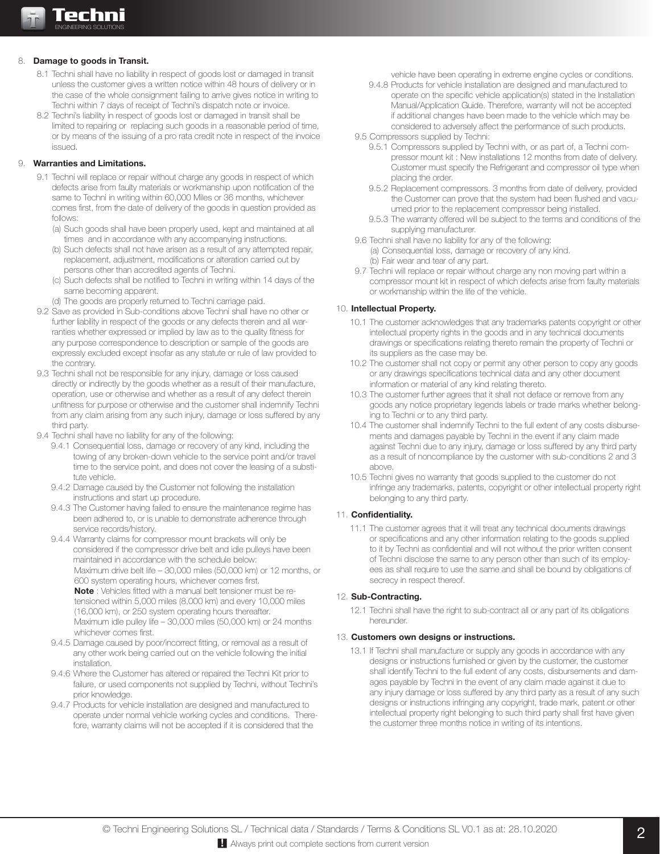## 8. **Damage to goods in Transit.**

- 8.1 Techni shall have no liability in respect of goods lost or damaged in transit unless the customer gives a written notice within 48 hours of delivery or in the case of the whole consignment failing to arrive gives notice in writing to Techni within 7 days of receipt of Techni's dispatch note or invoice.
- 8.2 Techni's liability in respect of goods lost or damaged in transit shall be limited to repairing or replacing such goods in a reasonable period of time, or by means of the issuing of a pro rata credit note in respect of the invoice issued.

## 9. **Warranties and Limitations.**

- 9.1 Techni will replace or repair without charge any goods in respect of which defects arise from faulty materials or workmanship upon notification of the same to Techni in writing within 60,000 Miles or 36 months, whichever comes first, from the date of delivery of the goods in question provided as follows:
	- (a) Such goods shall have been properly used, kept and maintained at all times and in accordance with any accompanying instructions.
	- (b) Such defects shall not have arisen as a result of any attempted repair, replacement, adjustment, modifications or alteration carried out by persons other than accredited agents of Techni.
	- (c) Such defects shall be notified to Techni in writing within 14 days of the same becoming apparent.
	- (d) The goods are properly returned to Techni carriage paid.
- 9.2 Save as provided in Sub-conditions above Techni shall have no other or further liability in respect of the goods or any defects therein and all warranties whether expressed or implied by law as to the quality fitness for any purpose correspondence to description or sample of the goods are expressly excluded except insofar as any statute or rule of law provided to the contrary.
- 9.3 Techni shall not be responsible for any injury, damage or loss caused directly or indirectly by the goods whether as a result of their manufacture, operation, use or otherwise and whether as a result of any defect therein unfitness for purpose or otherwise and the customer shall indemnify Techni from any claim arising from any such injury, damage or loss suffered by any third party.
- 9.4 Techni shall have no liability for any of the following:
	- 9.4.1 Consequential loss, damage or recovery of any kind, including the towing of any broken-down vehicle to the service point and/or travel time to the service point, and does not cover the leasing of a substitute vehicle.
	- 9.4.2 Damage caused by the Customer not following the installation instructions and start up procedure.
	- 9.4.3 The Customer having failed to ensure the maintenance regime has been adhered to, or is unable to demonstrate adherence through service records/history.
	- 9.4.4 Warranty claims for compressor mount brackets will only be considered if the compressor drive belt and idle pulleys have been maintained in accordance with the schedule below: Maximum drive belt life – 30,000 miles (50,000 km) or 12 months, or 600 system operating hours, whichever comes first. **Note** : Vehicles fitted with a manual belt tensioner must be retensioned within 5,000 miles (8,000 km) and every 10,000 miles (16,000 km), or 250 system operating hours thereafter.

Maximum idle pulley life – 30,000 miles (50,000 km) or 24 months whichever comes first.

- 9.4.5 Damage caused by poor/incorrect fitting, or removal as a result of any other work being carried out on the vehicle following the initial installation.
- 9.4.6 Where the Customer has altered or repaired the Techni Kit prior to failure, or used components not supplied by Techni, without Techni's prior knowledge.
- 9.4.7 Products for vehicle installation are designed and manufactured to operate under normal vehicle working cycles and conditions. Therefore, warranty claims will not be accepted if it is considered that the

vehicle have been operating in extreme engine cycles or conditions.

- 9.4.8 Products for vehicle installation are designed and manufactured to operate on the specific vehicle application(s) stated in the Installation Manual/Application Guide. Therefore, warranty will not be accepted if additional changes have been made to the vehicle which may be considered to adversely affect the performance of such products.
- 9.5 Compressors supplied by Techni:
	- 9.5.1 Compressors supplied by Techni with, or as part of, a Techni compressor mount kit : New installations 12 months from date of delivery. Customer must specify the Refrigerant and compressor oil type when placing the order.
	- 9.5.2 Replacement compressors. 3 months from date of delivery, provided the Customer can prove that the system had been flushed and vacuumed prior to the replacement compressor being installed.
	- 9.5.3 The warranty offered will be subject to the terms and conditions of the supplying manufacturer.
- 9.6 Techni shall have no liability for any of the following: (a) Consequential loss, damage or recovery of any kind. (b) Fair wear and tear of any part.
- 9.7 Techni will replace or repair without charge any non moving part within a compressor mount kit in respect of which defects arise from faulty materials or workmanship within the life of the vehicle.

## 10. **Intellectual Property.**

- 10.1 The customer acknowledges that any trademarks patents copyright or other intellectual property rights in the goods and in any technical documents drawings or specifications relating thereto remain the property of Techni or its suppliers as the case may be.
- 10.2 The customer shall not copy or permit any other person to copy any goods or any drawings specifications technical data and any other document information or material of any kind relating thereto.
- 10.3 The customer further agrees that it shall not deface or remove from any goods any notice proprietary legends labels or trade marks whether belonging to Techni or to any third party.
- 10.4 The customer shall indemnify Techni to the full extent of any costs disbursements and damages payable by Techni in the event if any claim made against Techni due to any injury, damage or loss suffered by any third party as a result of noncompliance by the customer with sub-conditions 2 and 3 above.
- 10.5 Techni gives no warranty that goods supplied to the customer do not infringe any trademarks, patents, copyright or other intellectual property right belonging to any third party.

# 11. Confidentiality.

11.1 The customer agrees that it will treat any technical documents drawings or specifications and any other information relating to the goods supplied to it by Techni as confidential and will not without the prior written consent of Techni disclose the same to any person other than such of its employees as shall require to use the same and shall be bound by obligations of secrecy in respect thereof.

#### 12. **Sub-Contracting.**

12.1 Techni shall have the right to sub-contract all or any part of its obligations hereunder.

#### 13. **Customers own designs or instructions.**

13.1 If Techni shall manufacture or supply any goods in accordance with any designs or instructions furnished or given by the customer, the customer shall identify Techni to the full extent of any costs, disbursements and damages payable by Techni in the event of any claim made against it due to any injury damage or loss suffered by any third party as a result of any such designs or instructions infringing any copyright, trade mark, patent or other intellectual property right belonging to such third party shall first have given the customer three months notice in writing of its intentions.